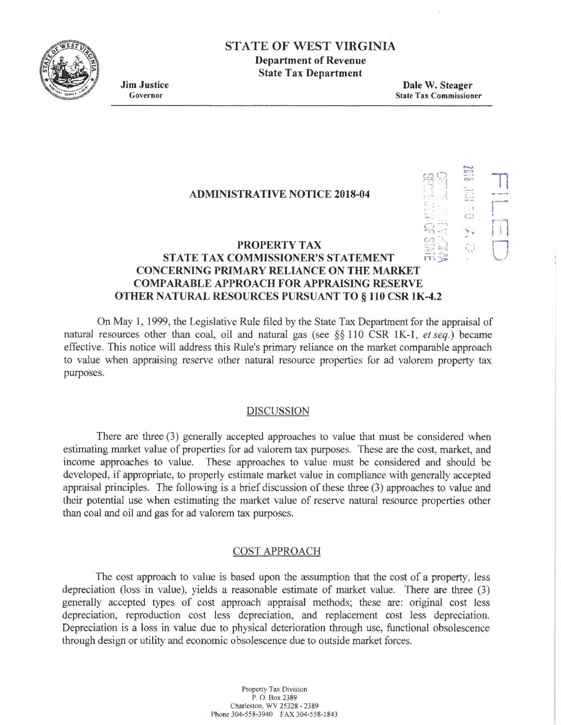

# **STATE OF WEST VIRGINIA**

**Department of Revenue State Tax Department** 

**Jim Justice**  Governor

**Dale W. Steager**  State Tax Commissioner

> $\mathfrak{G} \mathfrak{P}$ *:* ') ~ . '

 $\sim$  1 - 1·1 - -

 $C$ 

## **ADMINISTRATIVE NOTICE 2018-04**

#### **PROPERTY TAX**   $\frac{1}{2}$   $\frac{1}{2}$  $\mathbb{F}_1^1$   $\mathbb{H}_2^2$ **STATE TAX COMMISSIONER'S STATEMENT CONCERNING PRIMARY RELIANCE ON THE MARKET COMP ARABLE APPROACH FOR APPRAISING RESERVE OTHER NATURAL RESOURCES PURSUANT TO§ 110 CSR lK-4.2**

On May 1, 1999, the Legislative Rule filed by the State Tax Department for the appraisal of natural resources other than coal, oil and natural gas (see §§ 110 CSR lK-1, *et seq.)* became effective. This notice will address this Rule's primary reliance on the market comparable approach to value when appraising reserve other natural resource properties for ad valorem property tax purposes.

## DISCUSSION

There are three (3) generally accepted approaches to value that must be considered when estimating market value of properties for ad valorem tax purposes. These are the cost, market, and income approaches to value. These approaches to value must be considered and should be developed, if appropriate, to properly estimate market value in compliance with generally accepted appraisal principles. The following is a brief discussion of these three (3) approaches to value and their potential use when estimating the market value of reserve natural resource properties other than coal and oil and gas for ad valorem tax purposes.

## COST APPROACH

The cost approach to value is based upon the assumption that the cost of a property, less depreciation (loss in value), yields a reasonable estimate of market value. There are three (3) generally accepted types of cost approach appraisal methods; these are: original cost less depreciation, reproduction cost less depreciation, and replacement cost less depreciation. Depreciation is a loss in value due to physical deterioration through use, functional obsolescence through design or utility and economic obsolescence due to outside market forces.

> Property Tax Division P. 0. Box 2389 Charleston, WV 25328 - 2389 Phone 304-558-3940 FAX 304-558-1843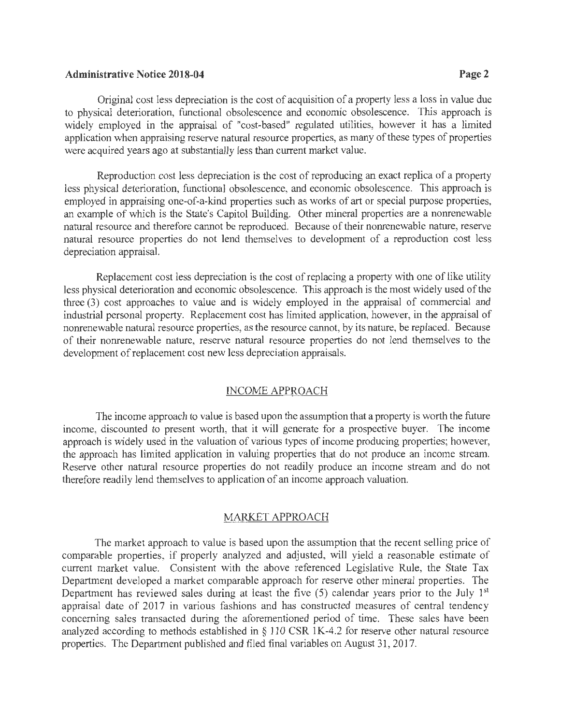## **Administrative Notice 2018-04 Page2**

Original cost less depreciation is the cost of acquisition of a property less a loss in value due to physical deterioration, functional obsolescence and economic obsolescence. This approach is widely employed in the appraisal of "cost-based" regulated utilities, however it has a limited application when appraising reserve natural resource properties, as many of these types of properties were acquired years ago at substantially less than current market value.

Reproduction cost less depreciation is the cost of reproducing an exact replica of a property less physical deterioration, functional obsolescence, and economic obsolescence. This approach is employed in appraising one-of-a-kind properties such as works of art or special purpose properties, an example of which is the State's Capitol Building. Other mineral properties are a nonrenewable natural resource and therefore cannot be reproduced. Because of their nonrenewable nature, reserve natural resource properties do not lend themselves to development of a reproduction cost less depreciation appraisal.

Replacement cost less depreciation is the cost of replacing a property with one of like utility less physical deterioration and economic obsolescence. This approach is the most widely used of the three (3) cost approaches to value and is widely employed in the appraisal of commercial and industrial personal property. Replacement cost has limited application, however, in the appraisal of nonrenewable natural resource properties, as the resource cannot, by its nature, be replaced. Because of their nonrenewable nature, reserve natural resource properties do not lend themselves to the development of replacement cost new less depreciation appraisals.

## INCOME APPROACH

The income approach to value is based upon the assumption that a property is worth the future income, discounted to present worth, that it will generate for a prospective buyer. The income approach is widely used in the valuation of various types of income producing properties; however, the approach has limited application in valuing properties that do not produce an income stream. Reserve other natural resource properties do not readily produce an income stream and do not therefore readily lend themselves to application of an income approach valuation.

#### MARKET APPROACH

The market approach to value is based upon the assumption that the recent selling price of comparable properties, if properly analyzed and adjusted, will yield a reasonable estimate of current market value. Consistent with the above referenced Legislative Rule, the State Tax Department developed a market comparable approach for reserve other mineral properties. The Department has reviewed sales during at least the five  $(5)$  calendar years prior to the July 1<sup>st</sup> appraisal date of 2017 in various fashions and has constructed measures of central tendency concerning sales transacted during the aforementioned period of time. These sales have been analyzed according to methods established in§ 110 CSR lK-4.2 for reserve other natural resource properties. The Department published and filed final variables on August 31, 2017.